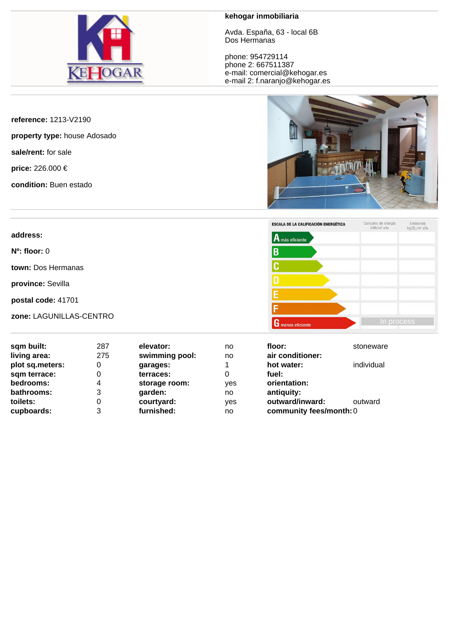

## **kehogar inmobiliaria**

Avda. España, 63 - local 6B Dos Hermanas

phone: 954729114 phone 2: 667511387 e-mail: comercial@kehogar.es e-mail 2: f.naranjo@kehogar.es

**reference:** 1213-V2190

**property type:** house Adosado

**sale/rent:** for sale

**price:** 226.000 €

**condition:** Buen estado





| sqm built:<br>living area: | 287<br>275 | elevator:<br>swimming pool: | no<br>no | floor:<br>air conditioner: | stoneware  |
|----------------------------|------------|-----------------------------|----------|----------------------------|------------|
| plot sq.meters:            | 0          | garages:                    |          | hot water:                 | individual |
| sqm terrace:               | 0          | terraces:                   | 0        | fuel:                      |            |
| bedrooms:                  | 4          | storage room:               | yes      | orientation:               |            |
| bathrooms:                 | 3          | garden:                     | no       | antiquity:                 |            |
| toilets:                   |            | courtyard:                  | ves      | outward/inward:            | outward    |
| cupboards:                 | 3          | furnished:                  | no       | community fees/month: 0    |            |